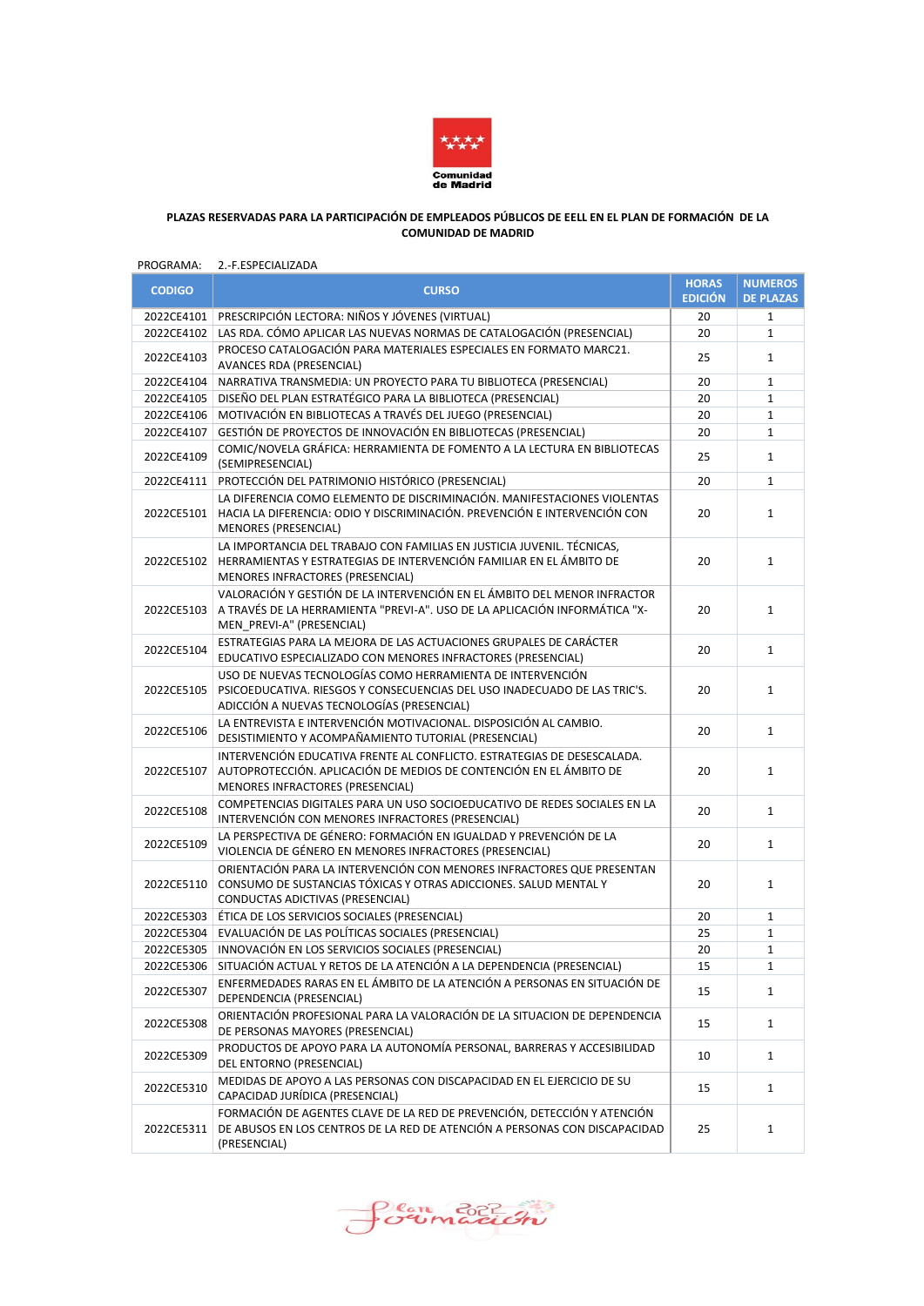

### **PLAZAS RESERVADAS PARA LA PARTICIPACIÓN DE EMPLEADOS PÚBLICOS DE EELL EN EL PLAN DE FORMACIÓN DE LA COMUNIDAD DE MADRID**

### PROGRAMA: 2.-F.ESPECIALIZADA

| <b>CODIGO</b> | <b>CURSO</b>                                                                                                                                                                          | <b>HORAS</b><br><b>EDICIÓN</b> | <b>NUMEROS</b><br><b>DE PLAZAS</b> |
|---------------|---------------------------------------------------------------------------------------------------------------------------------------------------------------------------------------|--------------------------------|------------------------------------|
| 2022CE4101    | PRESCRIPCIÓN LECTORA: NIÑOS Y JÓVENES (VIRTUAL)                                                                                                                                       | 20                             | 1                                  |
| 2022CE4102    | LAS RDA. CÓMO APLICAR LAS NUEVAS NORMAS DE CATALOGACIÓN (PRESENCIAL)                                                                                                                  | 20                             | $\mathbf{1}$                       |
| 2022CE4103    | PROCESO CATALOGACIÓN PARA MATERIALES ESPECIALES EN FORMATO MARC21.<br><b>AVANCES RDA (PRESENCIAL)</b>                                                                                 | 25                             | $\mathbf{1}$                       |
| 2022CE4104    | NARRATIVA TRANSMEDIA: UN PROYECTO PARA TU BIBLIOTECA (PRESENCIAL)                                                                                                                     | 20                             | $\mathbf{1}$                       |
| 2022CE4105    | DISEÑO DEL PLAN ESTRATÉGICO PARA LA BIBLIOTECA (PRESENCIAL)                                                                                                                           | 20                             | $\mathbf{1}$                       |
| 2022CE4106    | MOTIVACIÓN EN BIBLIOTECAS A TRAVÉS DEL JUEGO (PRESENCIAL)                                                                                                                             | 20                             | $\mathbf{1}$                       |
| 2022CE4107    | GESTIÓN DE PROYECTOS DE INNOVACIÓN EN BIBLIOTECAS (PRESENCIAL)                                                                                                                        | 20                             | $\mathbf{1}$                       |
| 2022CE4109    | COMIC/NOVELA GRÁFICA: HERRAMIENTA DE FOMENTO A LA LECTURA EN BIBLIOTECAS<br>(SEMIPRESENCIAL)                                                                                          | 25                             | $\mathbf{1}$                       |
| 2022CE4111    | PROTECCIÓN DEL PATRIMONIO HISTÓRICO (PRESENCIAL)                                                                                                                                      | 20                             | $\mathbf{1}$                       |
| 2022CE5101    | LA DIFERENCIA COMO ELEMENTO DE DISCRIMINACIÓN. MANIFESTACIONES VIOLENTAS<br>HACIA LA DIFERENCIA: ODIO Y DISCRIMINACIÓN. PREVENCIÓN E INTERVENCIÓN CON<br><b>MENORES (PRESENCIAL)</b>  | 20                             | $\mathbf{1}$                       |
| 2022CE5102    | LA IMPORTANCIA DEL TRABAJO CON FAMILIAS EN JUSTICIA JUVENIL. TÉCNICAS,<br>HERRAMIENTAS Y ESTRATEGIAS DE INTERVENCIÓN FAMILIAR EN EL ÁMBITO DE<br>MENORES INFRACTORES (PRESENCIAL)     | 20                             | $\mathbf{1}$                       |
| 2022CE5103    | VALORACIÓN Y GESTIÓN DE LA INTERVENCIÓN EN EL ÁMBITO DEL MENOR INFRACTOR<br>A TRAVÉS DE LA HERRAMIENTA "PREVI-A". USO DE LA APLICACIÓN INFORMÁTICA "X-<br>MEN_PREVI-A" (PRESENCIAL)   | 20                             | $\mathbf{1}$                       |
| 2022CE5104    | ESTRATEGIAS PARA LA MEJORA DE LAS ACTUACIONES GRUPALES DE CARÁCTER<br>EDUCATIVO ESPECIALIZADO CON MENORES INFRACTORES (PRESENCIAL)                                                    | 20                             | $\mathbf{1}$                       |
| 2022CE5105    | USO DE NUEVAS TECNOLOGÍAS COMO HERRAMIENTA DE INTERVENCIÓN<br>PSICOEDUCATIVA. RIESGOS Y CONSECUENCIAS DEL USO INADECUADO DE LAS TRIC'S.<br>ADICCIÓN A NUEVAS TECNOLOGÍAS (PRESENCIAL) | 20                             | $\mathbf{1}$                       |
| 2022CE5106    | LA ENTREVISTA E INTERVENCIÓN MOTIVACIONAL. DISPOSICIÓN AL CAMBIO.<br>DESISTIMIENTO Y ACOMPAÑAMIENTO TUTORIAL (PRESENCIAL)                                                             | 20                             | $\mathbf{1}$                       |
| 2022CE5107    | INTERVENCIÓN EDUCATIVA FRENTE AL CONFLICTO. ESTRATEGIAS DE DESESCALADA.<br>AUTOPROTECCIÓN. APLICACIÓN DE MEDIOS DE CONTENCIÓN EN EL ÁMBITO DE<br>MENORES INFRACTORES (PRESENCIAL)     | 20                             | 1                                  |
| 2022CE5108    | COMPETENCIAS DIGITALES PARA UN USO SOCIOEDUCATIVO DE REDES SOCIALES EN LA<br>INTERVENCIÓN CON MENORES INFRACTORES (PRESENCIAL)                                                        | 20                             | $\mathbf{1}$                       |
| 2022CE5109    | LA PERSPECTIVA DE GÉNERO: FORMACIÓN EN IGUALDAD Y PREVENCIÓN DE LA<br>VIOLENCIA DE GÉNERO EN MENORES INFRACTORES (PRESENCIAL)                                                         | 20                             | $\mathbf{1}$                       |
| 2022CE5110    | ORIENTACIÓN PARA LA INTERVENCIÓN CON MENORES INFRACTORES QUE PRESENTAN<br>CONSUMO DE SUSTANCIAS TÓXICAS Y OTRAS ADICCIONES. SALUD MENTAL Y<br>CONDUCTAS ADICTIVAS (PRESENCIAL)        | 20                             | $\mathbf{1}$                       |
|               | 2022CE5303   ÉTICA DE LOS SERVICIOS SOCIALES (PRESENCIAL)                                                                                                                             | 20                             | $\mathbf{1}$                       |
| 2022CE5304    | EVALUACIÓN DE LAS POLÍTICAS SOCIALES (PRESENCIAL)                                                                                                                                     | 25                             | $\mathbf{1}$                       |
| 2022CE5305    | INNOVACIÓN EN LOS SERVICIOS SOCIALES (PRESENCIAL)                                                                                                                                     | 20                             | 1                                  |
| 2022CE5306    | SITUACIÓN ACTUAL Y RETOS DE LA ATENCIÓN A LA DEPENDENCIA (PRESENCIAL)                                                                                                                 | 15                             | $\mathbf{1}$                       |
| 2022CE5307    | ENFERMEDADES RARAS EN EL ÁMBITO DE LA ATENCIÓN A PERSONAS EN SITUACIÓN DE<br>DEPENDENCIA (PRESENCIAL)                                                                                 | 15                             | $\mathbf{1}$                       |
| 2022CE5308    | ORIENTACIÓN PROFESIONAL PARA LA VALORACIÓN DE LA SITUACION DE DEPENDENCIA<br>DE PERSONAS MAYORES (PRESENCIAL)                                                                         | 15                             | $\mathbf{1}$                       |
| 2022CE5309    | PRODUCTOS DE APOYO PARA LA AUTONOMÍA PERSONAL, BARRERAS Y ACCESIBILIDAD<br>DEL ENTORNO (PRESENCIAL)                                                                                   | 10                             | $\mathbf{1}$                       |
| 2022CE5310    | MEDIDAS DE APOYO A LAS PERSONAS CON DISCAPACIDAD EN EL EJERCICIO DE SU<br>CAPACIDAD JURÍDICA (PRESENCIAL)                                                                             | 15                             | $\mathbf{1}$                       |
| 2022CE5311    | FORMACIÓN DE AGENTES CLAVE DE LA RED DE PREVENCIÓN, DETECCIÓN Y ATENCIÓN<br>DE ABUSOS EN LOS CENTROS DE LA RED DE ATENCIÓN A PERSONAS CON DISCAPACIDAD<br>(PRESENCIAL)                | 25                             | $\mathbf{1}$                       |

Soumación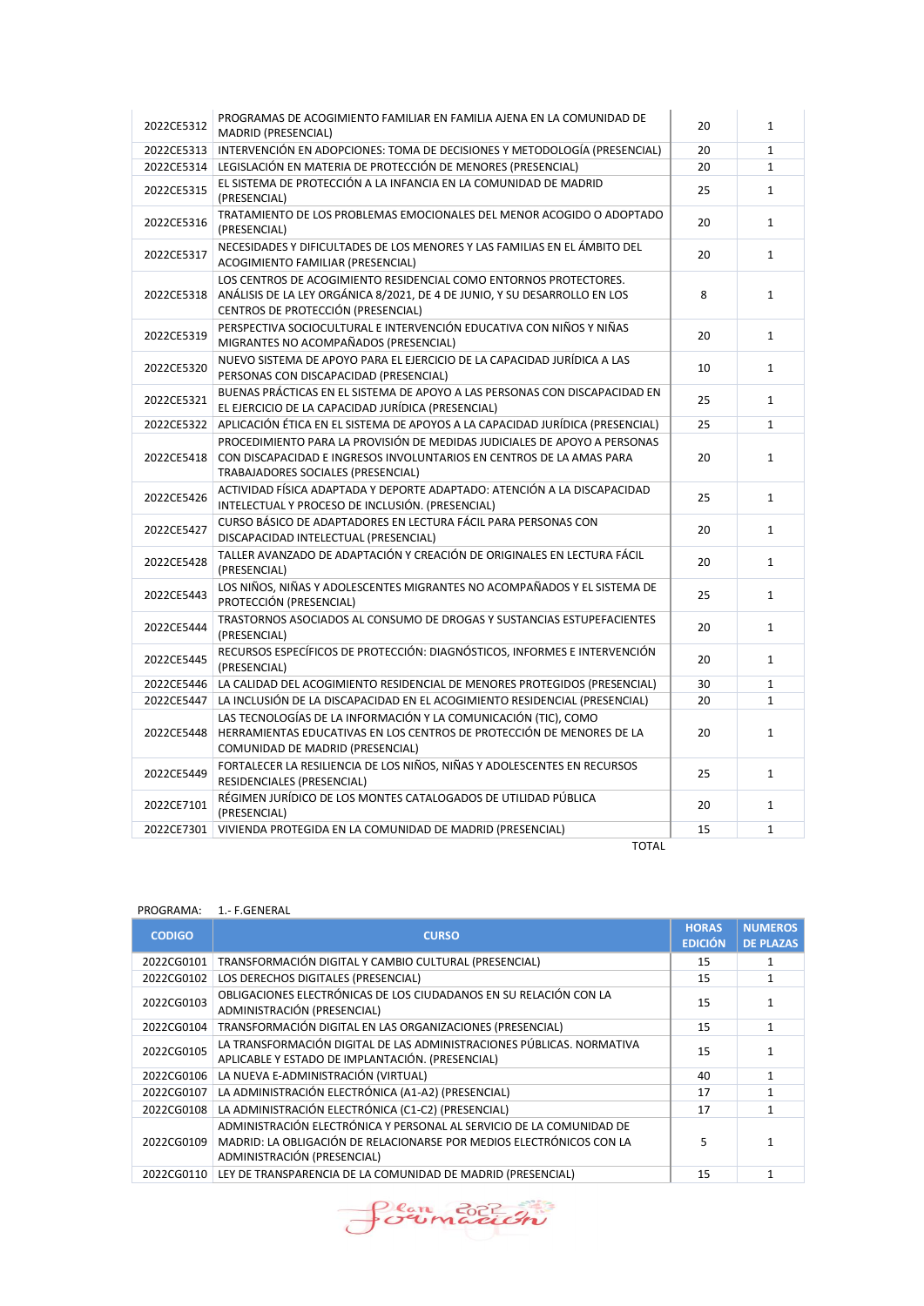| 2022CE5312 | PROGRAMAS DE ACOGIMIENTO FAMILIAR EN FAMILIA AJENA EN LA COMUNIDAD DE<br>MADRID (PRESENCIAL)                                                                                            | 20 | $\mathbf{1}$ |
|------------|-----------------------------------------------------------------------------------------------------------------------------------------------------------------------------------------|----|--------------|
| 2022CE5313 | INTERVENCIÓN EN ADOPCIONES: TOMA DE DECISIONES Y METODOLOGÍA (PRESENCIAL)                                                                                                               | 20 | $\mathbf 1$  |
| 2022CE5314 | LEGISLACIÓN EN MATERIA DE PROTECCIÓN DE MENORES (PRESENCIAL)                                                                                                                            | 20 | $\mathbf{1}$ |
| 2022CE5315 | EL SISTEMA DE PROTECCIÓN A LA INFANCIA EN LA COMUNIDAD DE MADRID<br>(PRESENCIAL)                                                                                                        | 25 | $\mathbf{1}$ |
| 2022CE5316 | TRATAMIENTO DE LOS PROBLEMAS EMOCIONALES DEL MENOR ACOGIDO O ADOPTADO<br>(PRESENCIAL)                                                                                                   | 20 | $\mathbf{1}$ |
| 2022CE5317 | NECESIDADES Y DIFICULTADES DE LOS MENORES Y LAS FAMILIAS EN EL ÁMBITO DEL<br>ACOGIMIENTO FAMILIAR (PRESENCIAL)                                                                          | 20 | $\mathbf{1}$ |
| 2022CE5318 | LOS CENTROS DE ACOGIMIENTO RESIDENCIAL COMO ENTORNOS PROTECTORES.<br>ANÁLISIS DE LA LEY ORGÁNICA 8/2021, DE 4 DE JUNIO, Y SU DESARROLLO EN LOS<br>CENTROS DE PROTECCIÓN (PRESENCIAL)    | 8  | $\mathbf{1}$ |
| 2022CE5319 | PERSPECTIVA SOCIOCULTURAL E INTERVENCIÓN EDUCATIVA CON NIÑOS Y NIÑAS<br>MIGRANTES NO ACOMPAÑADOS (PRESENCIAL)                                                                           | 20 | $\mathbf{1}$ |
| 2022CE5320 | NUEVO SISTEMA DE APOYO PARA EL EJERCICIO DE LA CAPACIDAD JURÍDICA A LAS<br>PERSONAS CON DISCAPACIDAD (PRESENCIAL)                                                                       | 10 | $\mathbf{1}$ |
| 2022CE5321 | BUENAS PRÁCTICAS EN EL SISTEMA DE APOYO A LAS PERSONAS CON DISCAPACIDAD EN<br>EL EJERCICIO DE LA CAPACIDAD JURÍDICA (PRESENCIAL)                                                        | 25 | $\mathbf{1}$ |
| 2022CE5322 | APLICACIÓN ÉTICA EN EL SISTEMA DE APOYOS A LA CAPACIDAD JURÍDICA (PRESENCIAL)                                                                                                           | 25 | $\mathbf{1}$ |
| 2022CE5418 | PROCEDIMIENTO PARA LA PROVISIÓN DE MEDIDAS JUDICIALES DE APOYO A PERSONAS<br>CON DISCAPACIDAD E INGRESOS INVOLUNTARIOS EN CENTROS DE LA AMAS PARA<br>TRABAJADORES SOCIALES (PRESENCIAL) | 20 | $\mathbf{1}$ |
| 2022CE5426 | ACTIVIDAD FÍSICA ADAPTADA Y DEPORTE ADAPTADO: ATENCIÓN A LA DISCAPACIDAD<br>INTELECTUAL Y PROCESO DE INCLUSIÓN. (PRESENCIAL)                                                            | 25 | $\mathbf{1}$ |
| 2022CE5427 | CURSO BÁSICO DE ADAPTADORES EN LECTURA FÁCIL PARA PERSONAS CON<br>DISCAPACIDAD INTELECTUAL (PRESENCIAL)                                                                                 | 20 | $\mathbf{1}$ |
| 2022CE5428 | TALLER AVANZADO DE ADAPTACIÓN Y CREACIÓN DE ORIGINALES EN LECTURA FÁCIL<br>(PRESENCIAL)                                                                                                 | 20 | $\mathbf{1}$ |
| 2022CE5443 | LOS NIÑOS, NIÑAS Y ADOLESCENTES MIGRANTES NO ACOMPAÑADOS Y EL SISTEMA DE<br>PROTECCIÓN (PRESENCIAL)                                                                                     | 25 | $\mathbf{1}$ |
| 2022CE5444 | TRASTORNOS ASOCIADOS AL CONSUMO DE DROGAS Y SUSTANCIAS ESTUPEFACIENTES<br>(PRESENCIAL)                                                                                                  | 20 | $\mathbf{1}$ |
| 2022CE5445 | RECURSOS ESPECÍFICOS DE PROTECCIÓN: DIAGNÓSTICOS, INFORMES E INTERVENCIÓN<br>(PRESENCIAL)                                                                                               | 20 | $\mathbf{1}$ |
| 2022CE5446 | LA CALIDAD DEL ACOGIMIENTO RESIDENCIAL DE MENORES PROTEGIDOS (PRESENCIAL)                                                                                                               | 30 | $\mathbf{1}$ |
| 2022CE5447 | LA INCLUSIÓN DE LA DISCAPACIDAD EN EL ACOGIMIENTO RESIDENCIAL (PRESENCIAL)                                                                                                              | 20 | $\mathbf{1}$ |
| 2022CE5448 | LAS TECNOLOGÍAS DE LA INFORMACIÓN Y LA COMUNICACIÓN (TIC), COMO<br>HERRAMIENTAS EDUCATIVAS EN LOS CENTROS DE PROTECCIÓN DE MENORES DE LA<br>COMUNIDAD DE MADRID (PRESENCIAL)            | 20 | $\mathbf{1}$ |
| 2022CE5449 | FORTALECER LA RESILIENCIA DE LOS NIÑOS, NIÑAS Y ADOLESCENTES EN RECURSOS<br>RESIDENCIALES (PRESENCIAL)                                                                                  | 25 | $\mathbf{1}$ |
| 2022CE7101 | RÉGIMEN JURÍDICO DE LOS MONTES CATALOGADOS DE UTILIDAD PÚBLICA<br>(PRESENCIAL)                                                                                                          | 20 | $\mathbf{1}$ |
| 2022CE7301 | VIVIENDA PROTEGIDA EN LA COMUNIDAD DE MADRID (PRESENCIAL)                                                                                                                               | 15 | $\mathbf{1}$ |
|            | <b>TOTAL</b>                                                                                                                                                                            |    |              |

# PROGRAMA: 1.- F.GENERAL

| <b>CODIGO</b> | <b>CURSO</b>                                                                                                                                                                | <b>HORAS</b><br><b>EDICIÓN</b> | <b>NUMEROS</b><br><b>DE PLAZAS</b> |
|---------------|-----------------------------------------------------------------------------------------------------------------------------------------------------------------------------|--------------------------------|------------------------------------|
| 2022CG0101    | TRANSFORMACIÓN DIGITAL Y CAMBIO CULTURAL (PRESENCIAL)                                                                                                                       | 15                             |                                    |
| 2022CG0102    | LOS DERECHOS DIGITALES (PRESENCIAL)                                                                                                                                         | 15                             |                                    |
| 2022CG0103    | OBLIGACIONES ELECTRÓNICAS DE LOS CIUDADANOS EN SU RELACIÓN CON LA<br>ADMINISTRACIÓN (PRESENCIAL)                                                                            | 15                             |                                    |
| 2022CG0104    | TRANSFORMACIÓN DIGITAL EN LAS ORGANIZACIONES (PRESENCIAL)                                                                                                                   | 15                             |                                    |
| 2022CG0105    | LA TRANSFORMACIÓN DIGITAL DE LAS ADMINISTRACIONES PÚBLICAS. NORMATIVA<br>APLICABLE Y ESTADO DE IMPLANTACIÓN. (PRESENCIAL)                                                   | 15                             |                                    |
| 2022CG0106    | LA NUEVA E-ADMINISTRACIÓN (VIRTUAL)                                                                                                                                         | 40                             |                                    |
| 2022CG0107    | LA ADMINISTRACIÓN ELECTRÓNICA (A1-A2) (PRESENCIAL)                                                                                                                          | 17                             |                                    |
| 2022CG0108    | LA ADMINISTRACIÓN ELECTRÓNICA (C1-C2) (PRESENCIAL)                                                                                                                          | 17                             |                                    |
| 2022CG0109    | ADMINISTRACIÓN ELECTRÓNICA Y PERSONAL AL SERVICIO DE LA COMUNIDAD DE<br>MADRID: LA OBLIGACIÓN DE RELACIONARSE POR MEDIOS ELECTRÓNICOS CON LA<br>ADMINISTRACIÓN (PRESENCIAL) |                                |                                    |
| 2022CG0110    | LEY DE TRANSPARENCIA DE LA COMUNIDAD DE MADRID (PRESENCIAL)                                                                                                                 | 15                             |                                    |

Soumación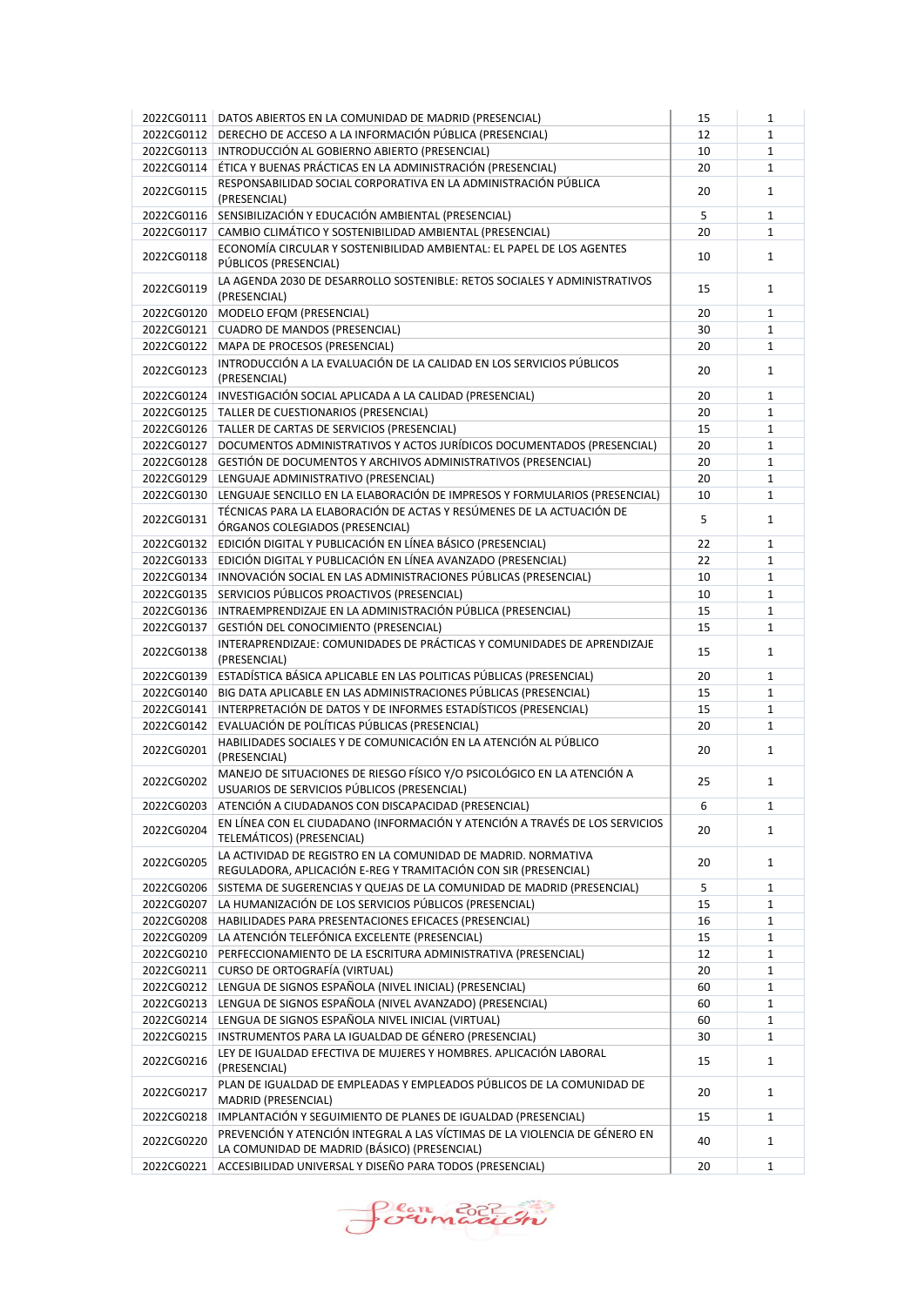|            | 2022CG0111   DATOS ABIERTOS EN LA COMUNIDAD DE MADRID (PRESENCIAL)                                                                        | 15 | $\mathbf{1}$ |
|------------|-------------------------------------------------------------------------------------------------------------------------------------------|----|--------------|
| 2022CG0112 | DERECHO DE ACCESO A LA INFORMACIÓN PÚBLICA (PRESENCIAL)                                                                                   | 12 | $\mathbf{1}$ |
| 2022CG0113 | INTRODUCCIÓN AL GOBIERNO ABIERTO (PRESENCIAL)                                                                                             | 10 | $\mathbf{1}$ |
| 2022CG0114 | ÉTICA Y BUENAS PRÁCTICAS EN LA ADMINISTRACIÓN (PRESENCIAL)                                                                                | 20 | $\mathbf{1}$ |
| 2022CG0115 | RESPONSABILIDAD SOCIAL CORPORATIVA EN LA ADMINISTRACIÓN PÚBLICA<br>(PRESENCIAL)                                                           | 20 | $\mathbf{1}$ |
| 2022CG0116 | SENSIBILIZACIÓN Y EDUCACIÓN AMBIENTAL (PRESENCIAL)                                                                                        | 5  | $\mathbf{1}$ |
| 2022CG0117 | CAMBIO CLIMÁTICO Y SOSTENIBILIDAD AMBIENTAL (PRESENCIAL)                                                                                  | 20 | $\mathbf{1}$ |
| 2022CG0118 | ECONOMÍA CIRCULAR Y SOSTENIBILIDAD AMBIENTAL: EL PAPEL DE LOS AGENTES<br>PÚBLICOS (PRESENCIAL)                                            | 10 | $\mathbf{1}$ |
| 2022CG0119 | LA AGENDA 2030 DE DESARROLLO SOSTENIBLE: RETOS SOCIALES Y ADMINISTRATIVOS<br>(PRESENCIAL)                                                 | 15 | $\mathbf{1}$ |
| 2022CG0120 | MODELO EFQM (PRESENCIAL)                                                                                                                  | 20 | $\mathbf{1}$ |
| 2022CG0121 | <b>CUADRO DE MANDOS (PRESENCIAL)</b>                                                                                                      | 30 | $\mathbf{1}$ |
|            | 2022CG0122   MAPA DE PROCESOS (PRESENCIAL)                                                                                                | 20 | $\mathbf{1}$ |
| 2022CG0123 | INTRODUCCIÓN A LA EVALUACIÓN DE LA CALIDAD EN LOS SERVICIOS PÚBLICOS<br>(PRESENCIAL)                                                      | 20 | $\mathbf{1}$ |
| 2022CG0124 | INVESTIGACIÓN SOCIAL APLICADA A LA CALIDAD (PRESENCIAL)                                                                                   | 20 | $\mathbf{1}$ |
| 2022CG0125 | TALLER DE CUESTIONARIOS (PRESENCIAL)                                                                                                      | 20 | $\mathbf{1}$ |
| 2022CG0126 | TALLER DE CARTAS DE SERVICIOS (PRESENCIAL)                                                                                                | 15 | $\mathbf{1}$ |
| 2022CG0127 | DOCUMENTOS ADMINISTRATIVOS Y ACTOS JURÍDICOS DOCUMENTADOS (PRESENCIAL)                                                                    | 20 | $\mathbf{1}$ |
| 2022CG0128 | GESTIÓN DE DOCUMENTOS Y ARCHIVOS ADMINISTRATIVOS (PRESENCIAL)                                                                             | 20 | $\mathbf{1}$ |
| 2022CG0129 | LENGUAJE ADMINISTRATIVO (PRESENCIAL)                                                                                                      | 20 | $\mathbf{1}$ |
| 2022CG0130 | LENGUAJE SENCILLO EN LA ELABORACIÓN DE IMPRESOS Y FORMULARIOS (PRESENCIAL)                                                                | 10 | $\mathbf{1}$ |
| 2022CG0131 | TÉCNICAS PARA LA ELABORACIÓN DE ACTAS Y RESÚMENES DE LA ACTUACIÓN DE<br>ÓRGANOS COLEGIADOS (PRESENCIAL)                                   | 5  | $\mathbf{1}$ |
| 2022CG0132 | EDICIÓN DIGITAL Y PUBLICACIÓN EN LÍNEA BÁSICO (PRESENCIAL)                                                                                | 22 | $\mathbf{1}$ |
| 2022CG0133 | EDICIÓN DIGITAL Y PUBLICACIÓN EN LÍNEA AVANZADO (PRESENCIAL)                                                                              | 22 | $\mathbf{1}$ |
| 2022CG0134 | INNOVACIÓN SOCIAL EN LAS ADMINISTRACIONES PÚBLICAS (PRESENCIAL)                                                                           | 10 | $\mathbf{1}$ |
| 2022CG0135 | SERVICIOS PÚBLICOS PROACTIVOS (PRESENCIAL)                                                                                                | 10 | $\mathbf{1}$ |
| 2022CG0136 | INTRAEMPRENDIZAJE EN LA ADMINISTRACIÓN PÚBLICA (PRESENCIAL)                                                                               | 15 | $\mathbf{1}$ |
| 2022CG0137 | GESTIÓN DEL CONOCIMIENTO (PRESENCIAL)                                                                                                     | 15 | $\mathbf{1}$ |
| 2022CG0138 | INTERAPRENDIZAJE: COMUNIDADES DE PRÁCTICAS Y COMUNIDADES DE APRENDIZAJE<br>(PRESENCIAL)                                                   | 15 | $\mathbf{1}$ |
| 2022CG0139 | ESTADÍSTICA BÁSICA APLICABLE EN LAS POLITICAS PÚBLICAS (PRESENCIAL)                                                                       | 20 | $\mathbf{1}$ |
| 2022CG0140 | BIG DATA APLICABLE EN LAS ADMINISTRACIONES PÚBLICAS (PRESENCIAL)                                                                          | 15 | $\mathbf{1}$ |
| 2022CG0141 | INTERPRETACIÓN DE DATOS Y DE INFORMES ESTADÍSTICOS (PRESENCIAL)                                                                           | 15 | $\mathbf{1}$ |
| 2022CG0142 | EVALUACIÓN DE POLÍTICAS PÚBLICAS (PRESENCIAL)                                                                                             | 20 | $\mathbf{1}$ |
| 2022CG0201 | HABILIDADES SOCIALES Y DE COMUNICACIÓN EN LA ATENCIÓN AL PÚBLICO<br>(PRESENCIAL)                                                          | 20 | $\mathbf{1}$ |
| 2022CG0202 | MANEJO DE SITUACIONES DE RIESGO FÍSICO Y/O PSICOLÓGICO EN LA ATENCIÓN A<br>USUARIOS DE SERVICIOS PÚBLICOS (PRESENCIAL)                    | 25 | $\mathbf{1}$ |
| 2022CG0203 | ATENCIÓN A CIUDADANOS CON DISCAPACIDAD (PRESENCIAL)                                                                                       | 6  | $\mathbf 1$  |
| 2022CG0204 | EN LÍNEA CON EL CIUDADANO (INFORMACIÓN Y ATENCIÓN A TRAVÉS DE LOS SERVICIOS                                                               | 20 | $\mathbf{1}$ |
| 2022CG0205 | TELEMÁTICOS) (PRESENCIAL)<br>LA ACTIVIDAD DE REGISTRO EN LA COMUNIDAD DE MADRID. NORMATIVA                                                | 20 | $\mathbf{1}$ |
| 2022CG0206 | REGULADORA, APLICACIÓN E-REG Y TRAMITACIÓN CON SIR (PRESENCIAL)<br>SISTEMA DE SUGERENCIAS Y QUEJAS DE LA COMUNIDAD DE MADRID (PRESENCIAL) | 5  | $\mathbf{1}$ |
| 2022CG0207 | LA HUMANIZACIÓN DE LOS SERVICIOS PÚBLICOS (PRESENCIAL)                                                                                    | 15 | $\mathbf{1}$ |
| 2022CG0208 | HABILIDADES PARA PRESENTACIONES EFICACES (PRESENCIAL)                                                                                     | 16 | $\mathbf{1}$ |
| 2022CG0209 | LA ATENCIÓN TELEFÓNICA EXCELENTE (PRESENCIAL)                                                                                             | 15 | $\mathbf{1}$ |
| 2022CG0210 | PERFECCIONAMIENTO DE LA ESCRITURA ADMINISTRATIVA (PRESENCIAL)                                                                             | 12 | $\mathbf{1}$ |
| 2022CG0211 | CURSO DE ORTOGRAFÍA (VIRTUAL)                                                                                                             | 20 | $\mathbf{1}$ |
| 2022CG0212 | LENGUA DE SIGNOS ESPAÑOLA (NIVEL INICIAL) (PRESENCIAL)                                                                                    | 60 | $\mathbf{1}$ |
| 2022CG0213 | LENGUA DE SIGNOS ESPAÑOLA (NIVEL AVANZADO) (PRESENCIAL)                                                                                   | 60 | $\mathbf{1}$ |
| 2022CG0214 | LENGUA DE SIGNOS ESPAÑOLA NIVEL INICIAL (VIRTUAL)                                                                                         | 60 | $\mathbf{1}$ |
| 2022CG0215 | INSTRUMENTOS PARA LA IGUALDAD DE GÉNERO (PRESENCIAL)                                                                                      | 30 | 1            |
| 2022CG0216 | LEY DE IGUALDAD EFECTIVA DE MUJERES Y HOMBRES. APLICACIÓN LABORAL<br>(PRESENCIAL)                                                         | 15 | $\mathbf{1}$ |
| 2022CG0217 | PLAN DE IGUALDAD DE EMPLEADAS Y EMPLEADOS PÚBLICOS DE LA COMUNIDAD DE<br>MADRID (PRESENCIAL)                                              | 20 | $\mathbf{1}$ |
| 2022CG0218 | IMPLANTACIÓN Y SEGUIMIENTO DE PLANES DE IGUALDAD (PRESENCIAL)                                                                             | 15 | $\mathbf{1}$ |
| 2022CG0220 | PREVENCIÓN Y ATENCIÓN INTEGRAL A LAS VÍCTIMAS DE LA VIOLENCIA DE GÉNERO EN<br>LA COMUNIDAD DE MADRID (BÁSICO) (PRESENCIAL)                | 40 | $\mathbf{1}$ |
| 2022CG0221 | ACCESIBILIDAD UNIVERSAL Y DISEÑO PARA TODOS (PRESENCIAL)                                                                                  | 20 | $\mathbf{1}$ |
|            |                                                                                                                                           |    |              |

Plan Brich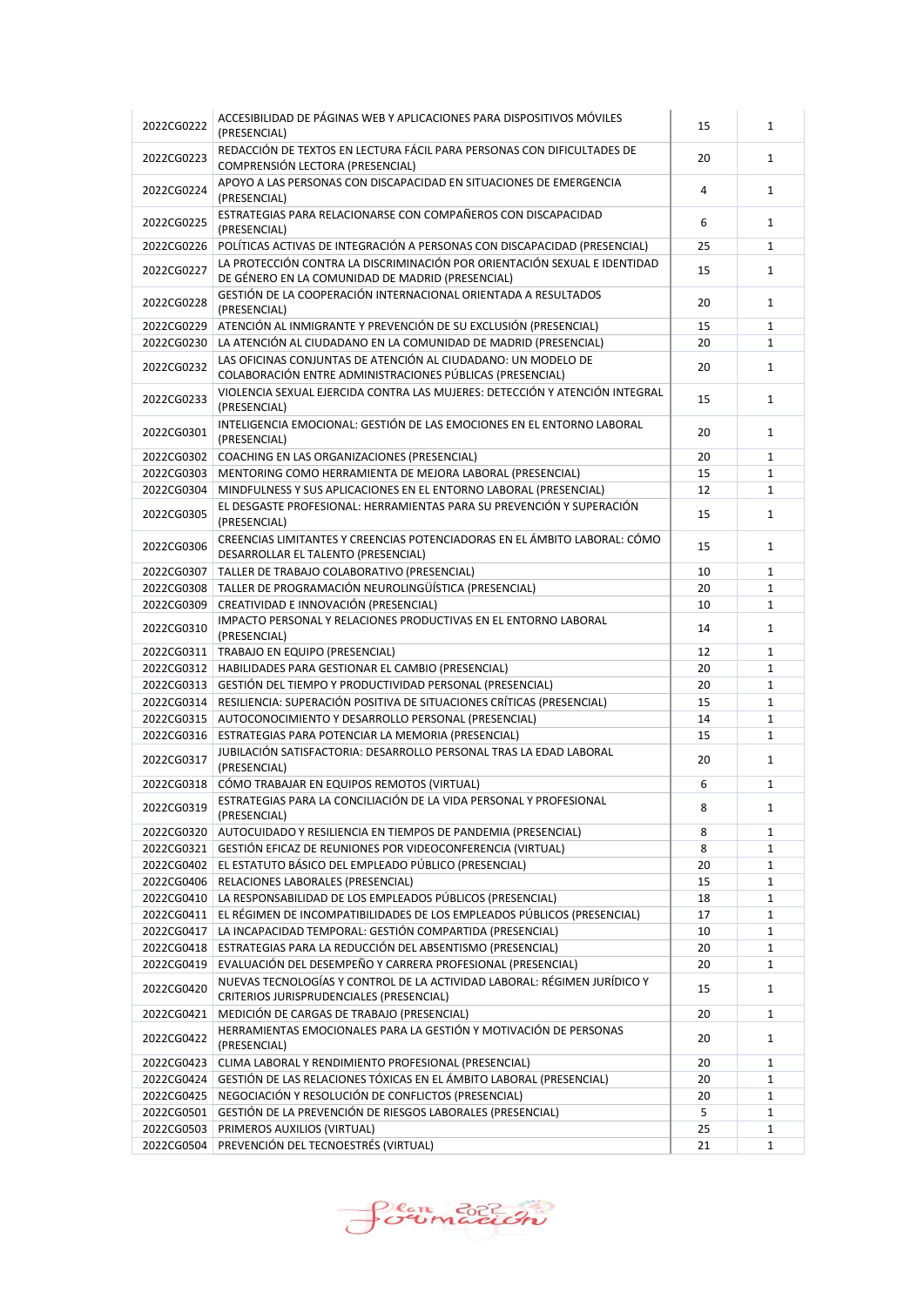| 2022CG0222 | ACCESIBILIDAD DE PÁGINAS WEB Y APLICACIONES PARA DISPOSITIVOS MÓVILES<br>(PRESENCIAL)                                         | 15 | $\mathbf{1}$ |
|------------|-------------------------------------------------------------------------------------------------------------------------------|----|--------------|
| 2022CG0223 | REDACCIÓN DE TEXTOS EN LECTURA FÁCIL PARA PERSONAS CON DIFICULTADES DE<br>COMPRENSIÓN LECTORA (PRESENCIAL)                    | 20 | $\mathbf{1}$ |
| 2022CG0224 | APOYO A LAS PERSONAS CON DISCAPACIDAD EN SITUACIONES DE EMERGENCIA<br>(PRESENCIAL)                                            | 4  | $\mathbf{1}$ |
| 2022CG0225 | ESTRATEGIAS PARA RELACIONARSE CON COMPAÑEROS CON DISCAPACIDAD<br>(PRESENCIAL)                                                 | 6  | $\mathbf{1}$ |
| 2022CG0226 | POLÍTICAS ACTIVAS DE INTEGRACIÓN A PERSONAS CON DISCAPACIDAD (PRESENCIAL)                                                     | 25 | $\mathbf{1}$ |
| 2022CG0227 | LA PROTECCIÓN CONTRA LA DISCRIMINACIÓN POR ORIENTACIÓN SEXUAL E IDENTIDAD<br>DE GÉNERO EN LA COMUNIDAD DE MADRID (PRESENCIAL) | 15 | $\mathbf{1}$ |
| 2022CG0228 | GESTIÓN DE LA COOPERACIÓN INTERNACIONAL ORIENTADA A RESULTADOS<br>(PRESENCIAL)                                                | 20 | $\mathbf{1}$ |
| 2022CG0229 | ATENCIÓN AL INMIGRANTE Y PREVENCIÓN DE SU EXCLUSIÓN (PRESENCIAL)                                                              | 15 | $\mathbf{1}$ |
| 2022CG0230 | LA ATENCIÓN AL CIUDADANO EN LA COMUNIDAD DE MADRID (PRESENCIAL)                                                               | 20 | $\mathbf{1}$ |
| 2022CG0232 | LAS OFICINAS CONJUNTAS DE ATENCIÓN AL CIUDADANO: UN MODELO DE<br>COLABORACIÓN ENTRE ADMINISTRACIONES PÚBLICAS (PRESENCIAL)    | 20 | $\mathbf{1}$ |
| 2022CG0233 | VIOLENCIA SEXUAL EJERCIDA CONTRA LAS MUJERES: DETECCIÓN Y ATENCIÓN INTEGRAL<br>(PRESENCIAL)                                   | 15 | $\mathbf{1}$ |
| 2022CG0301 | INTELIGENCIA EMOCIONAL: GESTIÓN DE LAS EMOCIONES EN EL ENTORNO LABORAL<br>(PRESENCIAL)                                        | 20 | $\mathbf{1}$ |
| 2022CG0302 | COACHING EN LAS ORGANIZACIONES (PRESENCIAL)                                                                                   | 20 | $\mathbf{1}$ |
| 2022CG0303 | MENTORING COMO HERRAMIENTA DE MEJORA LABORAL (PRESENCIAL)                                                                     | 15 | $\mathbf{1}$ |
| 2022CG0304 | MINDFULNESS Y SUS APLICACIONES EN EL ENTORNO LABORAL (PRESENCIAL)                                                             | 12 | $\mathbf{1}$ |
| 2022CG0305 | EL DESGASTE PROFESIONAL: HERRAMIENTAS PARA SU PREVENCIÓN Y SUPERACIÓN<br>(PRESENCIAL)                                         | 15 | $\mathbf{1}$ |
| 2022CG0306 | CREENCIAS LIMITANTES Y CREENCIAS POTENCIADORAS EN EL ÁMBITO LABORAL: CÓMO<br>DESARROLLAR EL TALENTO (PRESENCIAL)              | 15 | $\mathbf{1}$ |
| 2022CG0307 | TALLER DE TRABAJO COLABORATIVO (PRESENCIAL)                                                                                   | 10 | $\mathbf{1}$ |
| 2022CG0308 | TALLER DE PROGRAMACIÓN NEUROLINGÜÍSTICA (PRESENCIAL)                                                                          | 20 | $\mathbf{1}$ |
| 2022CG0309 | CREATIVIDAD E INNOVACIÓN (PRESENCIAL)                                                                                         | 10 | $\mathbf{1}$ |
| 2022CG0310 | IMPACTO PERSONAL Y RELACIONES PRODUCTIVAS EN EL ENTORNO LABORAL<br>(PRESENCIAL)                                               | 14 | $\mathbf{1}$ |
| 2022CG0311 | TRABAJO EN EQUIPO (PRESENCIAL)                                                                                                | 12 | $\mathbf{1}$ |
| 2022CG0312 | HABILIDADES PARA GESTIONAR EL CAMBIO (PRESENCIAL)                                                                             | 20 | $\mathbf{1}$ |
| 2022CG0313 | GESTIÓN DEL TIEMPO Y PRODUCTIVIDAD PERSONAL (PRESENCIAL)                                                                      | 20 | $\mathbf{1}$ |
| 2022CG0314 | RESILIENCIA: SUPERACIÓN POSITIVA DE SITUACIONES CRÍTICAS (PRESENCIAL)                                                         | 15 | $\mathbf{1}$ |
| 2022CG0315 | AUTOCONOCIMIENTO Y DESARROLLO PERSONAL (PRESENCIAL)                                                                           | 14 | $\mathbf{1}$ |
| 2022CG0316 | ESTRATEGIAS PARA POTENCIAR LA MEMORIA (PRESENCIAL)                                                                            | 15 | $\mathbf{1}$ |
| 2022CG0317 | JUBILACIÓN SATISFACTORIA: DESARROLLO PERSONAL TRAS LA EDAD LABORAL<br>(PRESENCIAL)                                            | 20 | $\mathbf{1}$ |
| 2022CG0318 | CÓMO TRABAJAR EN EQUIPOS REMOTOS (VIRTUAL)                                                                                    | 6  | $\mathbf{1}$ |
| 2022CG0319 | ESTRATEGIAS PARA LA CONCILIACIÓN DE LA VIDA PERSONAL Y PROFESIONAL<br>(PRESENCIAL)                                            | 8  | 1            |
| 2022CG0320 | AUTOCUIDADO Y RESILIENCIA EN TIEMPOS DE PANDEMIA (PRESENCIAL)                                                                 | 8  | $\mathbf{1}$ |
| 2022CG0321 | GESTIÓN EFICAZ DE REUNIONES POR VIDEOCONFERENCIA (VIRTUAL)                                                                    | 8  | 1            |
| 2022CG0402 | EL ESTATUTO BÁSICO DEL EMPLEADO PÚBLICO (PRESENCIAL)                                                                          | 20 | $\mathbf{1}$ |
| 2022CG0406 | RELACIONES LABORALES (PRESENCIAL)                                                                                             | 15 | $\mathbf{1}$ |
| 2022CG0410 | LA RESPONSABILIDAD DE LOS EMPLEADOS PÚBLICOS (PRESENCIAL)                                                                     | 18 | 1            |
| 2022CG0411 | EL RÉGIMEN DE INCOMPATIBILIDADES DE LOS EMPLEADOS PÚBLICOS (PRESENCIAL)                                                       | 17 | $\mathbf{1}$ |
| 2022CG0417 | LA INCAPACIDAD TEMPORAL: GESTIÓN COMPARTIDA (PRESENCIAL)                                                                      | 10 | 1            |
| 2022CG0418 | ESTRATEGIAS PARA LA REDUCCIÓN DEL ABSENTISMO (PRESENCIAL)                                                                     | 20 | $\mathbf{1}$ |
| 2022CG0419 | EVALUACIÓN DEL DESEMPEÑO Y CARRERA PROFESIONAL (PRESENCIAL)                                                                   | 20 | 1            |
| 2022CG0420 | NUEVAS TECNOLOGÍAS Y CONTROL DE LA ACTIVIDAD LABORAL: RÉGIMEN JURÍDICO Y<br>CRITERIOS JURISPRUDENCIALES (PRESENCIAL)          | 15 | $\mathbf{1}$ |
| 2022CG0421 | MEDICIÓN DE CARGAS DE TRABAJO (PRESENCIAL)                                                                                    | 20 | $\mathbf{1}$ |
| 2022CG0422 | HERRAMIENTAS EMOCIONALES PARA LA GESTIÓN Y MOTIVACIÓN DE PERSONAS<br>(PRESENCIAL)                                             | 20 | $\mathbf{1}$ |
| 2022CG0423 | CLIMA LABORAL Y RENDIMIENTO PROFESIONAL (PRESENCIAL)                                                                          | 20 | 1            |
| 2022CG0424 | GESTIÓN DE LAS RELACIONES TÓXICAS EN EL ÁMBITO LABORAL (PRESENCIAL)                                                           | 20 | 1            |
| 2022CG0425 | NEGOCIACIÓN Y RESOLUCIÓN DE CONFLICTOS (PRESENCIAL)                                                                           | 20 | $\mathbf{1}$ |
| 2022CG0501 | GESTIÓN DE LA PREVENCIÓN DE RIESGOS LABORALES (PRESENCIAL)                                                                    | 5  | 1            |
| 2022CG0503 | PRIMEROS AUXILIOS (VIRTUAL)                                                                                                   | 25 | 1            |
| 2022CG0504 | PREVENCIÓN DEL TECNOESTRÉS (VIRTUAL)                                                                                          | 21 | 1            |
|            |                                                                                                                               |    |              |

Plan Brich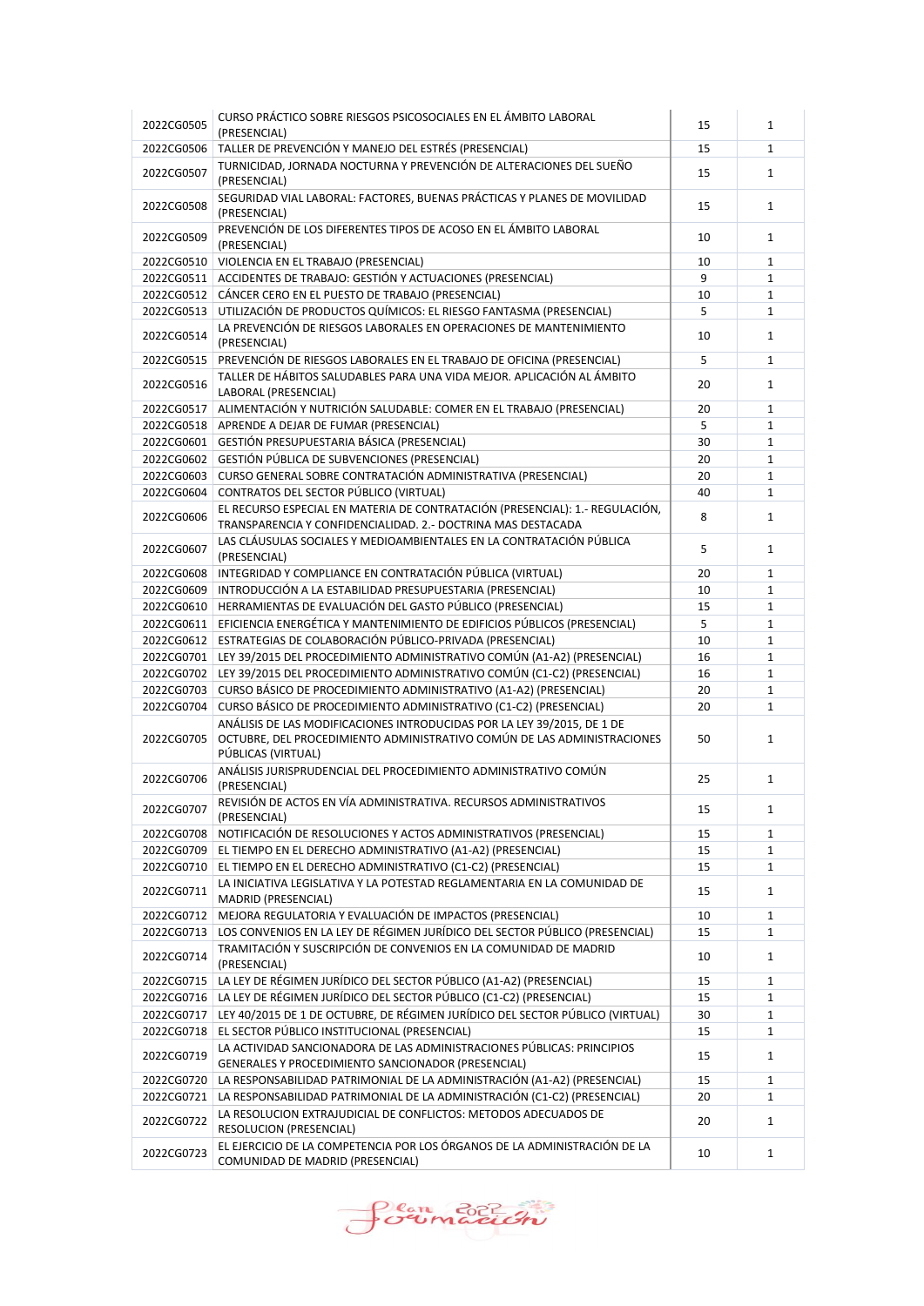| 2022CG0505 | CURSO PRÁCTICO SOBRE RIESGOS PSICOSOCIALES EN EL ÁMBITO LABORAL<br>(PRESENCIAL)                                                                                          | 15 | $\mathbf{1}$ |
|------------|--------------------------------------------------------------------------------------------------------------------------------------------------------------------------|----|--------------|
| 2022CG0506 | TALLER DE PREVENCIÓN Y MANEJO DEL ESTRÉS (PRESENCIAL)                                                                                                                    | 15 | $\mathbf{1}$ |
| 2022CG0507 | TURNICIDAD, JORNADA NOCTURNA Y PREVENCIÓN DE ALTERACIONES DEL SUEÑO<br>(PRESENCIAL)                                                                                      | 15 | $\mathbf{1}$ |
| 2022CG0508 | SEGURIDAD VIAL LABORAL: FACTORES, BUENAS PRÁCTICAS Y PLANES DE MOVILIDAD<br>(PRESENCIAL)                                                                                 | 15 | $\mathbf{1}$ |
| 2022CG0509 | PREVENCIÓN DE LOS DIFERENTES TIPOS DE ACOSO EN EL ÁMBITO LABORAL<br>(PRESENCIAL)                                                                                         | 10 | $\mathbf{1}$ |
| 2022CG0510 | VIOLENCIA EN EL TRABAJO (PRESENCIAL)                                                                                                                                     | 10 | $\mathbf{1}$ |
| 2022CG0511 | ACCIDENTES DE TRABAJO: GESTIÓN Y ACTUACIONES (PRESENCIAL)                                                                                                                | 9  | $\mathbf{1}$ |
| 2022CG0512 | CÁNCER CERO EN EL PUESTO DE TRABAJO (PRESENCIAL)                                                                                                                         | 10 | $\mathbf{1}$ |
| 2022CG0513 | UTILIZACIÓN DE PRODUCTOS QUÍMICOS: EL RIESGO FANTASMA (PRESENCIAL)                                                                                                       | 5  | $\mathbf{1}$ |
| 2022CG0514 | LA PREVENCIÓN DE RIESGOS LABORALES EN OPERACIONES DE MANTENIMIENTO<br>(PRESENCIAL)                                                                                       | 10 | $\mathbf{1}$ |
| 2022CG0515 | PREVENCIÓN DE RIESGOS LABORALES EN EL TRABAJO DE OFICINA (PRESENCIAL)                                                                                                    | 5  | $\mathbf{1}$ |
| 2022CG0516 | TALLER DE HÁBITOS SALUDABLES PARA UNA VIDA MEJOR. APLICACIÓN AL ÁMBITO<br>LABORAL (PRESENCIAL)                                                                           | 20 | $\mathbf{1}$ |
| 2022CG0517 | ALIMENTACIÓN Y NUTRICIÓN SALUDABLE: COMER EN EL TRABAJO (PRESENCIAL)                                                                                                     | 20 | $\mathbf{1}$ |
| 2022CG0518 | APRENDE A DEJAR DE FUMAR (PRESENCIAL)                                                                                                                                    | 5  | $\mathbf{1}$ |
| 2022CG0601 | GESTIÓN PRESUPUESTARIA BÁSICA (PRESENCIAL)                                                                                                                               | 30 | $\mathbf{1}$ |
| 2022CG0602 | GESTIÓN PÚBLICA DE SUBVENCIONES (PRESENCIAL)                                                                                                                             | 20 | $\mathbf{1}$ |
| 2022CG0603 | CURSO GENERAL SOBRE CONTRATACIÓN ADMINISTRATIVA (PRESENCIAL)                                                                                                             | 20 | $\mathbf{1}$ |
| 2022CG0604 | CONTRATOS DEL SECTOR PÚBLICO (VIRTUAL)                                                                                                                                   | 40 | $\mathbf{1}$ |
| 2022CG0606 | EL RECURSO ESPECIAL EN MATERIA DE CONTRATACIÓN (PRESENCIAL): 1.- REGULACIÓN,<br>TRANSPARENCIA Y CONFIDENCIALIDAD. 2.- DOCTRINA MAS DESTACADA                             | 8  | $\mathbf{1}$ |
| 2022CG0607 | LAS CLÁUSULAS SOCIALES Y MEDIOAMBIENTALES EN LA CONTRATACIÓN PÚBLICA<br>(PRESENCIAL)                                                                                     | 5  | $\mathbf{1}$ |
| 2022CG0608 | INTEGRIDAD Y COMPLIANCE EN CONTRATACIÓN PÚBLICA (VIRTUAL)                                                                                                                | 20 | $\mathbf{1}$ |
| 2022CG0609 | INTRODUCCIÓN A LA ESTABILIDAD PRESUPUESTARIA (PRESENCIAL)                                                                                                                | 10 | $\mathbf{1}$ |
| 2022CG0610 | HERRAMIENTAS DE EVALUACIÓN DEL GASTO PÚBLICO (PRESENCIAL)                                                                                                                | 15 | $\mathbf{1}$ |
| 2022CG0611 | EFICIENCIA ENERGÉTICA Y MANTENIMIENTO DE EDIFICIOS PÚBLICOS (PRESENCIAL)                                                                                                 | 5  | $\mathbf{1}$ |
| 2022CG0612 | ESTRATEGIAS DE COLABORACIÓN PÚBLICO-PRIVADA (PRESENCIAL)                                                                                                                 | 10 | $\mathbf{1}$ |
|            | 2022CG0701 LEY 39/2015 DEL PROCEDIMIENTO ADMINISTRATIVO COMÚN (A1-A2) (PRESENCIAL)                                                                                       | 16 | $\mathbf{1}$ |
| 2022CG0702 | LEY 39/2015 DEL PROCEDIMIENTO ADMINISTRATIVO COMÚN (C1-C2) (PRESENCIAL)                                                                                                  | 16 | $\mathbf{1}$ |
| 2022CG0703 | CURSO BÁSICO DE PROCEDIMIENTO ADMINISTRATIVO (A1-A2) (PRESENCIAL)                                                                                                        | 20 | $\mathbf{1}$ |
| 2022CG0704 | CURSO BÁSICO DE PROCEDIMIENTO ADMINISTRATIVO (C1-C2) (PRESENCIAL)                                                                                                        | 20 | $\mathbf{1}$ |
| 2022CG0705 | ANÁLISIS DE LAS MODIFICACIONES INTRODUCIDAS POR LA LEY 39/2015, DE 1 DE<br>OCTUBRE, DEL PROCEDIMIENTO ADMINISTRATIVO COMÚN DE LAS ADMINISTRACIONES<br>PÚBLICAS (VIRTUAL) | 50 | $\mathbf{1}$ |
| 2022CG0706 | ANÁLISIS JURISPRUDENCIAL DEL PROCEDIMIENTO ADMINISTRATIVO COMÚN<br>(PRESENCIAL)                                                                                          | 25 | $\mathbf{1}$ |
| 2022CG0707 | REVISIÓN DE ACTOS EN VÍA ADMINISTRATIVA. RECURSOS ADMINISTRATIVOS<br>(PRESENCIAL)                                                                                        | 15 | $\mathbf 1$  |
| 2022CG0708 | NOTIFICACIÓN DE RESOLUCIONES Y ACTOS ADMINISTRATIVOS (PRESENCIAL)                                                                                                        | 15 | 1            |
| 2022CG0709 | EL TIEMPO EN EL DERECHO ADMINISTRATIVO (A1-A2) (PRESENCIAL)                                                                                                              | 15 | $\mathbf{1}$ |
| 2022CG0710 | EL TIEMPO EN EL DERECHO ADMINISTRATIVO (C1-C2) (PRESENCIAL)                                                                                                              | 15 | $\mathbf{1}$ |
| 2022CG0711 | LA INICIATIVA LEGISLATIVA Y LA POTESTAD REGLAMENTARIA EN LA COMUNIDAD DE<br>MADRID (PRESENCIAL)                                                                          | 15 | $\mathbf{1}$ |
| 2022CG0712 | MEJORA REGULATORIA Y EVALUACIÓN DE IMPACTOS (PRESENCIAL)                                                                                                                 | 10 | 1            |
| 2022CG0713 | LOS CONVENIOS EN LA LEY DE RÉGIMEN JURÍDICO DEL SECTOR PÚBLICO (PRESENCIAL)                                                                                              | 15 | $\mathbf{1}$ |
| 2022CG0714 | TRAMITACIÓN Y SUSCRIPCIÓN DE CONVENIOS EN LA COMUNIDAD DE MADRID<br>(PRESENCIAL)                                                                                         | 10 | $\mathbf{1}$ |
| 2022CG0715 | LA LEY DE RÉGIMEN JURÍDICO DEL SECTOR PÚBLICO (A1-A2) (PRESENCIAL)                                                                                                       | 15 | $\mathbf{1}$ |
| 2022CG0716 | LA LEY DE RÉGIMEN JURÍDICO DEL SECTOR PÚBLICO (C1-C2) (PRESENCIAL)                                                                                                       | 15 | $\mathbf{1}$ |
| 2022CG0717 | LEY 40/2015 DE 1 DE OCTUBRE, DE RÉGIMEN JURÍDICO DEL SECTOR PÚBLICO (VIRTUAL)                                                                                            | 30 | $\mathbf{1}$ |
| 2022CG0718 | EL SECTOR PÚBLICO INSTITUCIONAL (PRESENCIAL)                                                                                                                             | 15 | $\mathbf{1}$ |
| 2022CG0719 | LA ACTIVIDAD SANCIONADORA DE LAS ADMINISTRACIONES PÚBLICAS: PRINCIPIOS<br>GENERALES Y PROCEDIMIENTO SANCIONADOR (PRESENCIAL)                                             | 15 | $\mathbf{1}$ |
| 2022CG0720 | LA RESPONSABILIDAD PATRIMONIAL DE LA ADMINISTRACIÓN (A1-A2) (PRESENCIAL)                                                                                                 | 15 | 1            |
| 2022CG0721 | LA RESPONSABILIDAD PATRIMONIAL DE LA ADMINISTRACIÓN (C1-C2) (PRESENCIAL)                                                                                                 | 20 | 1            |
| 2022CG0722 | LA RESOLUCION EXTRAJUDICIAL DE CONFLICTOS: METODOS ADECUADOS DE<br>RESOLUCION (PRESENCIAL)                                                                               | 20 | $\mathbf{1}$ |
| 2022CG0723 | EL EJERCICIO DE LA COMPETENCIA POR LOS ÓRGANOS DE LA ADMINISTRACIÓN DE LA<br>COMUNIDAD DE MADRID (PRESENCIAL)                                                            | 10 | $\mathbf{1}$ |

Sormación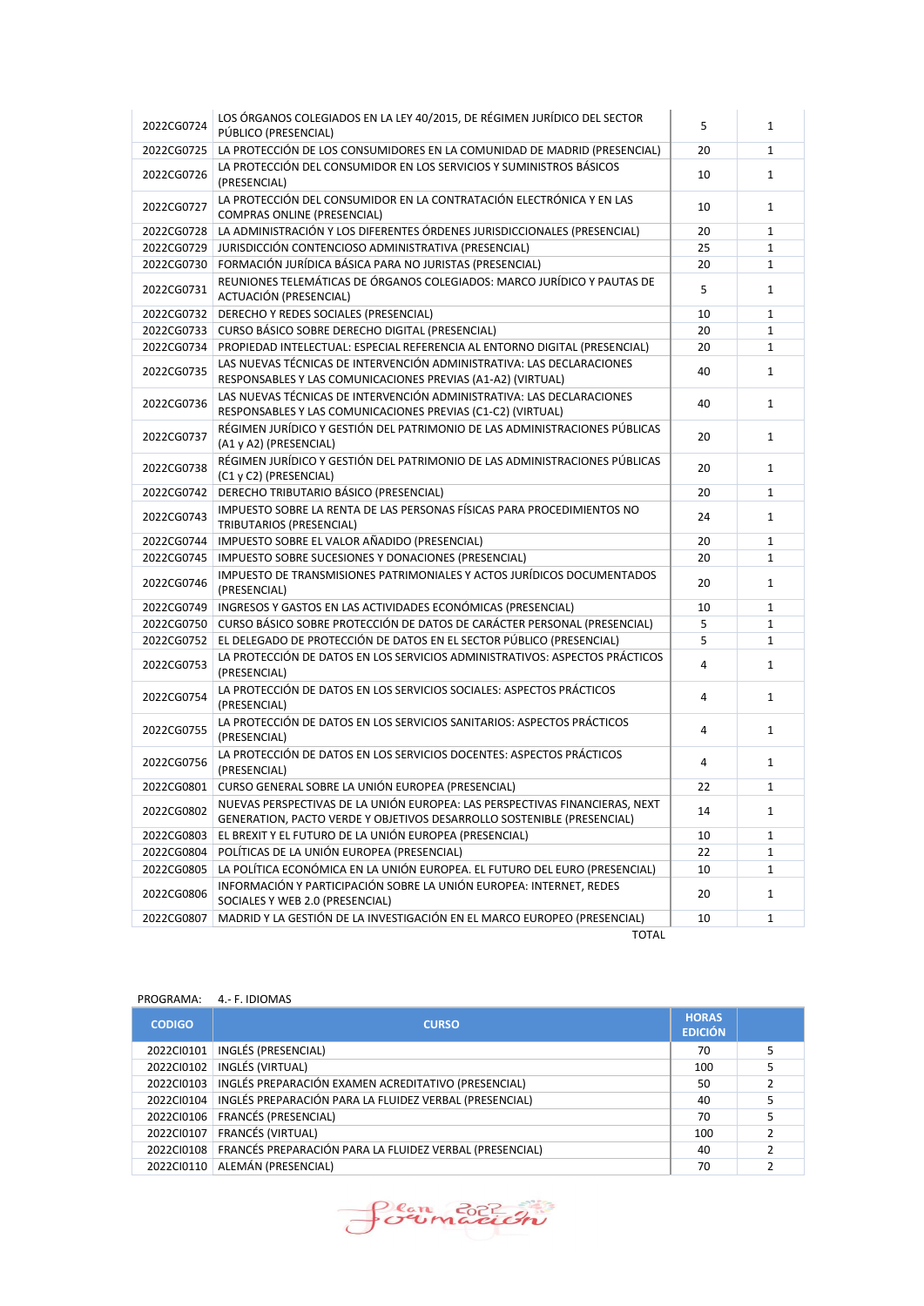| 2022CG0724 | LOS ÓRGANOS COLEGIADOS EN LA LEY 40/2015, DE RÉGIMEN JURÍDICO DEL SECTOR<br>PÚBLICO (PRESENCIAL)                                                      | 5  | $\mathbf{1}$ |
|------------|-------------------------------------------------------------------------------------------------------------------------------------------------------|----|--------------|
| 2022CG0725 | LA PROTECCIÓN DE LOS CONSUMIDORES EN LA COMUNIDAD DE MADRID (PRESENCIAL)                                                                              | 20 | $\mathbf{1}$ |
| 2022CG0726 | LA PROTECCIÓN DEL CONSUMIDOR EN LOS SERVICIOS Y SUMINISTROS BÁSICOS<br>(PRESENCIAL)                                                                   | 10 | $\mathbf{1}$ |
| 2022CG0727 | LA PROTECCIÓN DEL CONSUMIDOR EN LA CONTRATACIÓN ELECTRÓNICA Y EN LAS<br><b>COMPRAS ONLINE (PRESENCIAL)</b>                                            | 10 | $\mathbf{1}$ |
| 2022CG0728 | LA ADMINISTRACIÓN Y LOS DIFERENTES ÓRDENES JURISDICCIONALES (PRESENCIAL)                                                                              | 20 | $\mathbf{1}$ |
| 2022CG0729 | JURISDICCIÓN CONTENCIOSO ADMINISTRATIVA (PRESENCIAL)                                                                                                  | 25 | $\mathbf{1}$ |
| 2022CG0730 | FORMACIÓN JURÍDICA BÁSICA PARA NO JURISTAS (PRESENCIAL)                                                                                               | 20 | $\mathbf{1}$ |
| 2022CG0731 | REUNIONES TELEMÁTICAS DE ÓRGANOS COLEGIADOS: MARCO JURÍDICO Y PAUTAS DE<br>ACTUACIÓN (PRESENCIAL)                                                     | 5  | $\mathbf{1}$ |
| 2022CG0732 | DERECHO Y REDES SOCIALES (PRESENCIAL)                                                                                                                 | 10 | $\mathbf{1}$ |
| 2022CG0733 | CURSO BÁSICO SOBRE DERECHO DIGITAL (PRESENCIAL)                                                                                                       | 20 | $\mathbf{1}$ |
| 2022CG0734 | PROPIEDAD INTELECTUAL: ESPECIAL REFERENCIA AL ENTORNO DIGITAL (PRESENCIAL)                                                                            | 20 | $\mathbf{1}$ |
| 2022CG0735 | LAS NUEVAS TÉCNICAS DE INTERVENCIÓN ADMINISTRATIVA: LAS DECLARACIONES<br>RESPONSABLES Y LAS COMUNICACIONES PREVIAS (A1-A2) (VIRTUAL)                  | 40 | $\mathbf{1}$ |
| 2022CG0736 | LAS NUEVAS TÉCNICAS DE INTERVENCIÓN ADMINISTRATIVA: LAS DECLARACIONES<br>RESPONSABLES Y LAS COMUNICACIONES PREVIAS (C1-C2) (VIRTUAL)                  | 40 | $\mathbf{1}$ |
| 2022CG0737 | RÉGIMEN JURÍDICO Y GESTIÓN DEL PATRIMONIO DE LAS ADMINISTRACIONES PÚBLICAS<br>(A1 y A2) (PRESENCIAL)                                                  | 20 | $\mathbf{1}$ |
| 2022CG0738 | RÉGIMEN JURÍDICO Y GESTIÓN DEL PATRIMONIO DE LAS ADMINISTRACIONES PÚBLICAS<br>(C1 y C2) (PRESENCIAL)                                                  | 20 | $\mathbf{1}$ |
| 2022CG0742 | DERECHO TRIBUTARIO BÁSICO (PRESENCIAL)                                                                                                                | 20 | $\mathbf{1}$ |
| 2022CG0743 | IMPUESTO SOBRE LA RENTA DE LAS PERSONAS FÍSICAS PARA PROCEDIMIENTOS NO<br>TRIBUTARIOS (PRESENCIAL)                                                    | 24 | $\mathbf{1}$ |
| 2022CG0744 | IMPUESTO SOBRE EL VALOR AÑADIDO (PRESENCIAL)                                                                                                          | 20 | $\mathbf{1}$ |
| 2022CG0745 | IMPUESTO SOBRE SUCESIONES Y DONACIONES (PRESENCIAL)                                                                                                   | 20 | $\mathbf{1}$ |
| 2022CG0746 | IMPUESTO DE TRANSMISIONES PATRIMONIALES Y ACTOS JURÍDICOS DOCUMENTADOS<br>(PRESENCIAL)                                                                | 20 | $\mathbf{1}$ |
| 2022CG0749 | INGRESOS Y GASTOS EN LAS ACTIVIDADES ECONÓMICAS (PRESENCIAL)                                                                                          | 10 | $\mathbf{1}$ |
| 2022CG0750 | CURSO BÁSICO SOBRE PROTECCIÓN DE DATOS DE CARÁCTER PERSONAL (PRESENCIAL)                                                                              | 5  | $\mathbf{1}$ |
| 2022CG0752 | EL DELEGADO DE PROTECCIÓN DE DATOS EN EL SECTOR PÚBLICO (PRESENCIAL)                                                                                  | 5  | $\mathbf{1}$ |
| 2022CG0753 | LA PROTECCIÓN DE DATOS EN LOS SERVICIOS ADMINISTRATIVOS: ASPECTOS PRÁCTICOS<br>(PRESENCIAL)                                                           | 4  | $\mathbf{1}$ |
| 2022CG0754 | LA PROTECCIÓN DE DATOS EN LOS SERVICIOS SOCIALES: ASPECTOS PRÁCTICOS<br>(PRESENCIAL)                                                                  | 4  | $\mathbf{1}$ |
| 2022CG0755 | LA PROTECCIÓN DE DATOS EN LOS SERVICIOS SANITARIOS: ASPECTOS PRÁCTICOS<br>(PRESENCIAL)                                                                | 4  | $\mathbf{1}$ |
| 2022CG0756 | LA PROTECCIÓN DE DATOS EN LOS SERVICIOS DOCENTES: ASPECTOS PRÁCTICOS<br>(PRESENCIAL)                                                                  | 4  | $\mathbf{1}$ |
| 2022CG0801 | CURSO GENERAL SOBRE LA UNIÓN EUROPEA (PRESENCIAL)                                                                                                     | 22 | $\mathbf{1}$ |
| 2022CG0802 | NUEVAS PERSPECTIVAS DE LA UNIÓN EUROPEA: LAS PERSPECTIVAS FINANCIERAS, NEXT<br>GENERATION, PACTO VERDE Y OBJETIVOS DESARROLLO SOSTENIBLE (PRESENCIAL) | 14 | $\mathbf{1}$ |
| 2022CG0803 | EL BREXIT Y EL FUTURO DE LA UNIÓN EUROPEA (PRESENCIAL)                                                                                                | 10 | 1            |
| 2022CG0804 | POLÍTICAS DE LA UNIÓN EUROPEA (PRESENCIAL)                                                                                                            | 22 | 1            |
| 2022CG0805 | LA POLÍTICA ECONÓMICA EN LA UNIÓN EUROPEA. EL FUTURO DEL EURO (PRESENCIAL)                                                                            | 10 | 1            |
| 2022CG0806 | INFORMACIÓN Y PARTICIPACIÓN SOBRE LA UNIÓN EUROPEA: INTERNET, REDES<br>SOCIALES Y WEB 2.0 (PRESENCIAL)                                                | 20 | $\mathbf{1}$ |
| 2022CG0807 | MADRID Y LA GESTIÓN DE LA INVESTIGACIÓN EN EL MARCO EUROPEO (PRESENCIAL)                                                                              | 10 | 1            |
|            | <b>TOTAL</b>                                                                                                                                          |    |              |

# PROGRAMA: 4.- F. IDIOMAS

| <b>CODIGO</b> | <b>CURSO</b>                                                        | <b>HORAS</b><br><b>EDICIÓN</b> |  |
|---------------|---------------------------------------------------------------------|--------------------------------|--|
| 2022Cl0101    | INGLÉS (PRESENCIAL)                                                 | 70                             |  |
|               | 2022CI0102   INGLÉS (VIRTUAL)                                       | 100                            |  |
|               | 2022CI0103   INGLÉS PREPARACIÓN EXAMEN ACREDITATIVO (PRESENCIAL)    | 50                             |  |
|               | 2022CI0104   INGLÉS PREPARACIÓN PARA LA FLUIDEZ VERBAL (PRESENCIAL) | 40                             |  |
| 2022Cl0106    | <b>FRANCÉS (PRESENCIAL)</b>                                         | 70                             |  |
|               | 2022CI0107   FRANCÉS (VIRTUAL)                                      | 100                            |  |
|               | 2022CI0108 FRANCÉS PREPARACIÓN PARA LA FLUIDEZ VERBAL (PRESENCIAL)  | 40                             |  |
| 2022Cl0110    | ALEMÁN (PRESENCIAL)                                                 | 70                             |  |

Sormación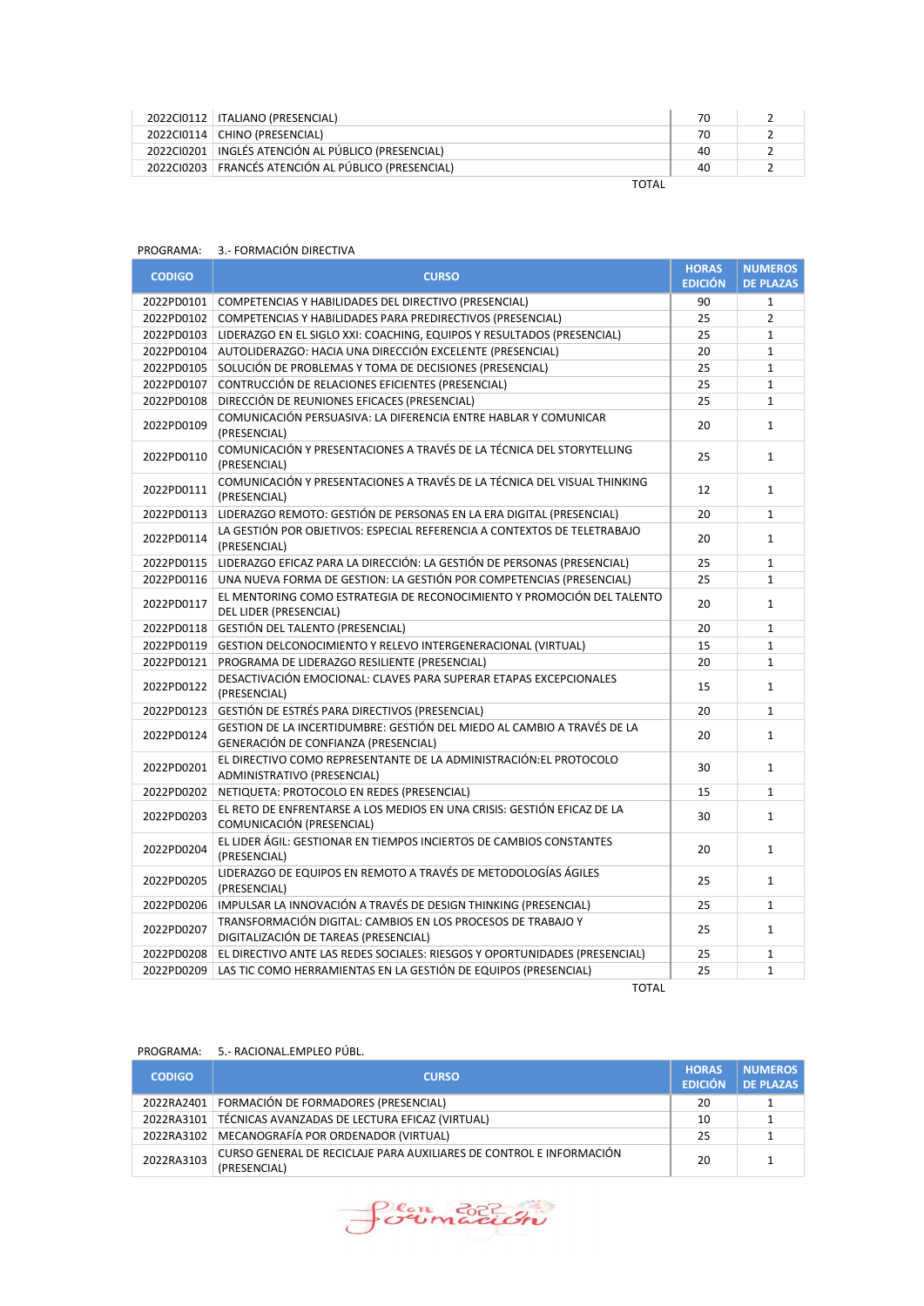| 2022Cl0112   ITALIANO (PRESENCIAL)                    | 70 |  |
|-------------------------------------------------------|----|--|
| 2022Cl0114   CHINO (PRESENCIAL)                       | 70 |  |
| 2022CI0201   INGLÉS ATENCIÓN AL PÚBLICO (PRESENCIAL)  | 40 |  |
| 2022CI0203   FRANCÉS ATENCIÓN AL PÚBLICO (PRESENCIAL) | 40 |  |
| -----                                                 |    |  |

| ۰.<br>× |
|---------|
|---------|

| PROGRAMA:     | 3.- FORMACIÓN DIRECTIVA                                                                                         |                |                  |
|---------------|-----------------------------------------------------------------------------------------------------------------|----------------|------------------|
| <b>CODIGO</b> | <b>CURSO</b>                                                                                                    | <b>HORAS</b>   | <b>NUMEROS</b>   |
|               |                                                                                                                 | <b>EDICIÓN</b> | <b>DE PLAZAS</b> |
|               | 2022PD0101 COMPETENCIAS Y HABILIDADES DEL DIRECTIVO (PRESENCIAL)                                                | 90             | $\mathbf{1}$     |
|               | 2022PD0102 COMPETENCIAS Y HABILIDADES PARA PREDIRECTIVOS (PRESENCIAL)                                           | 25             | $\overline{2}$   |
| 2022PD0103    | LIDERAZGO EN EL SIGLO XXI: COACHING, EQUIPOS Y RESULTADOS (PRESENCIAL)                                          | 25             | $\mathbf{1}$     |
|               | 2022PD0104 AUTOLIDERAZGO: HACIA UNA DIRECCIÓN EXCELENTE (PRESENCIAL)                                            | 20             | $\mathbf{1}$     |
|               | 2022PD0105 SOLUCIÓN DE PROBLEMAS Y TOMA DE DECISIONES (PRESENCIAL)                                              | 25             | $\mathbf{1}$     |
| 2022PD0107    | CONTRUCCIÓN DE RELACIONES EFICIENTES (PRESENCIAL)                                                               | 25             | $\mathbf{1}$     |
| 2022PD0108    | DIRECCIÓN DE REUNIONES EFICACES (PRESENCIAL)                                                                    | 25             | $\mathbf{1}$     |
| 2022PD0109    | COMUNICACIÓN PERSUASIVA: LA DIFERENCIA ENTRE HABLAR Y COMUNICAR<br>(PRESENCIAL)                                 | 20             | $\mathbf{1}$     |
| 2022PD0110    | COMUNICACIÓN Y PRESENTACIONES A TRAVÉS DE LA TÉCNICA DEL STORYTELLING<br>(PRESENCIAL)                           | 25             | $\mathbf{1}$     |
| 2022PD0111    | COMUNICACIÓN Y PRESENTACIONES A TRAVÉS DE LA TÉCNICA DEL VISUAL THINKING<br>(PRESENCIAL)                        | 12             | $\mathbf{1}$     |
| 2022PD0113    | LIDERAZGO REMOTO: GESTIÓN DE PERSONAS EN LA ERA DIGITAL (PRESENCIAL)                                            | 20             | $\mathbf{1}$     |
| 2022PD0114    | LA GESTIÓN POR OBJETIVOS: ESPECIAL REFERENCIA A CONTEXTOS DE TELETRABAJO<br>(PRESENCIAL)                        | 20             | $\mathbf{1}$     |
| 2022PD0115    | LIDERAZGO EFICAZ PARA LA DIRECCIÓN: LA GESTIÓN DE PERSONAS (PRESENCIAL)                                         | 25             | $\mathbf{1}$     |
| 2022PD0116    | UNA NUEVA FORMA DE GESTION: LA GESTIÓN POR COMPETENCIAS (PRESENCIAL)                                            | 25             | $\mathbf{1}$     |
| 2022PD0117    | EL MENTORING COMO ESTRATEGIA DE RECONOCIMIENTO Y PROMOCIÓN DEL TALENTO<br>DEL LIDER (PRESENCIAL)                | 20             | $\mathbf{1}$     |
| 2022PD0118    | <b>GESTIÓN DEL TALENTO (PRESENCIAL)</b>                                                                         | 20             | $\mathbf{1}$     |
| 2022PD0119    | GESTION DELCONOCIMIENTO Y RELEVO INTERGENERACIONAL (VIRTUAL)                                                    | 15             | $\mathbf{1}$     |
| 2022PD0121    | PROGRAMA DE LIDERAZGO RESILIENTE (PRESENCIAL)                                                                   | 20             | $\mathbf{1}$     |
| 2022PD0122    | DESACTIVACIÓN EMOCIONAL: CLAVES PARA SUPERAR ETAPAS EXCEPCIONALES<br>(PRESENCIAL)                               | 15             | $\mathbf{1}$     |
| 2022PD0123    | GESTIÓN DE ESTRÉS PARA DIRECTIVOS (PRESENCIAL)                                                                  | 20             | $\mathbf{1}$     |
| 2022PD0124    | GESTION DE LA INCERTIDUMBRE: GESTIÓN DEL MIEDO AL CAMBIO A TRAVÉS DE LA<br>GENERACIÓN DE CONFIANZA (PRESENCIAL) | 20             | $\mathbf{1}$     |
| 2022PD0201    | EL DIRECTIVO COMO REPRESENTANTE DE LA ADMINISTRACIÓN: EL PROTOCOLO<br>ADMINISTRATIVO (PRESENCIAL)               | 30             | $\mathbf{1}$     |
| 2022PD0202    | NETIQUETA: PROTOCOLO EN REDES (PRESENCIAL)                                                                      | 15             | $\mathbf{1}$     |
| 2022PD0203    | EL RETO DE ENFRENTARSE A LOS MEDIOS EN UNA CRISIS: GESTIÓN EFICAZ DE LA<br>COMUNICACIÓN (PRESENCIAL)            | 30             | $\mathbf{1}$     |
| 2022PD0204    | EL LIDER ÁGIL: GESTIONAR EN TIEMPOS INCIERTOS DE CAMBIOS CONSTANTES<br>(PRESENCIAL)                             | 20             | $\mathbf{1}$     |
| 2022PD0205    | LIDERAZGO DE EQUIPOS EN REMOTO A TRAVÉS DE METODOLOGÍAS ÁGILES<br>(PRESENCIAL)                                  | 25             | $\mathbf{1}$     |
| 2022PD0206    | IMPULSAR LA INNOVACIÓN A TRAVÉS DE DESIGN THINKING (PRESENCIAL)                                                 | 25             | $\mathbf{1}$     |
| 2022PD0207    | TRANSFORMACIÓN DIGITAL: CAMBIOS EN LOS PROCESOS DE TRABAJO Y<br>DIGITALIZACIÓN DE TAREAS (PRESENCIAL)           | 25             | $\mathbf{1}$     |
| 2022PD0208    | EL DIRECTIVO ANTE LAS REDES SOCIALES: RIESGOS Y OPORTUNIDADES (PRESENCIAL)                                      | 25             | $\mathbf{1}$     |
| 2022PD0209    | LAS TIC COMO HERRAMIENTAS EN LA GESTIÓN DE EQUIPOS (PRESENCIAL)                                                 | 25             | $\mathbf{1}$     |

TOTAL

# PROGRAMA: 5.- RACIONAL.EMPLEO PÚBL.

| <b>CODIGO</b> | <b>CURSO</b>                                                                        | <b>HORAS</b><br><b>EDICIÓN</b> | NUMEROS<br><b>DE PLAZAS</b> |
|---------------|-------------------------------------------------------------------------------------|--------------------------------|-----------------------------|
| 2022RA2401    | FORMACIÓN DE FORMADORES (PRESENCIAL)                                                | 20                             |                             |
|               | 2022RA3101   TÉCNICAS AVANZADAS DE LECTURA EFICAZ (VIRTUAL)                         | 10                             |                             |
|               | 2022RA3102 MECANOGRAFÍA POR ORDENADOR (VIRTUAL)                                     | 25                             |                             |
| 2022RA3103    | CURSO GENERAL DE RECICLAJE PARA AUXILIARES DE CONTROL E INFORMACIÓN<br>(PRESENCIAL) | 20                             |                             |

Sormación